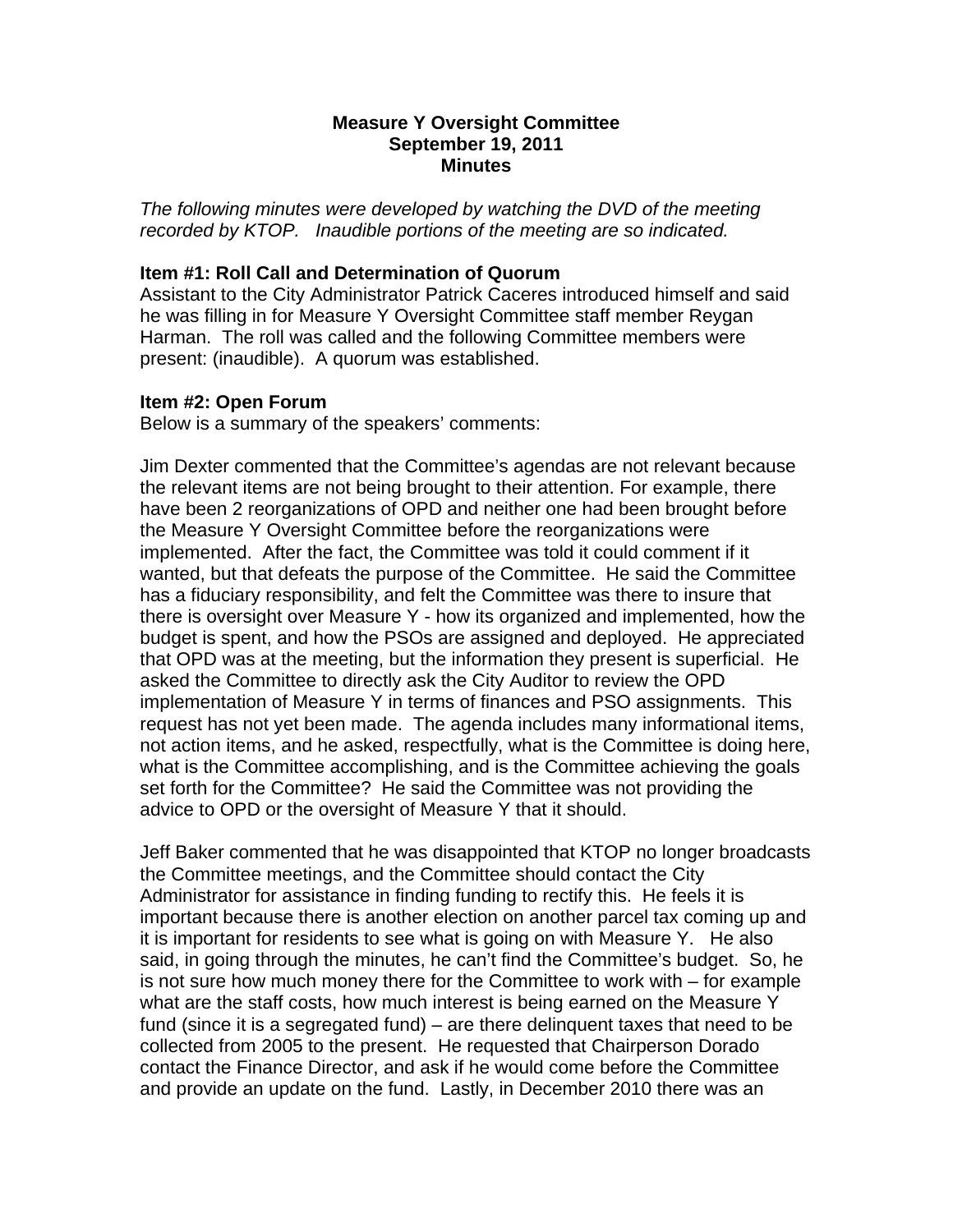### **Measure Y Oversight Committee September 19, 2011 Minutes**

*The following minutes were developed by watching the DVD of the meeting recorded by KTOP. Inaudible portions of the meeting are so indicated.* 

# **Item #1: Roll Call and Determination of Quorum**

Assistant to the City Administrator Patrick Caceres introduced himself and said he was filling in for Measure Y Oversight Committee staff member Reygan Harman. The roll was called and the following Committee members were present: (inaudible). A quorum was established.

### **Item #2: Open Forum**

Below is a summary of the speakers' comments:

Jim Dexter commented that the Committee's agendas are not relevant because the relevant items are not being brought to their attention. For example, there have been 2 reorganizations of OPD and neither one had been brought before the Measure Y Oversight Committee before the reorganizations were implemented. After the fact, the Committee was told it could comment if it wanted, but that defeats the purpose of the Committee. He said the Committee has a fiduciary responsibility, and felt the Committee was there to insure that there is oversight over Measure Y - how its organized and implemented, how the budget is spent, and how the PSOs are assigned and deployed. He appreciated that OPD was at the meeting, but the information they present is superficial. He asked the Committee to directly ask the City Auditor to review the OPD implementation of Measure Y in terms of finances and PSO assignments. This request has not yet been made. The agenda includes many informational items, not action items, and he asked, respectfully, what is the Committee is doing here, what is the Committee accomplishing, and is the Committee achieving the goals set forth for the Committee? He said the Committee was not providing the advice to OPD or the oversight of Measure Y that it should.

Jeff Baker commented that he was disappointed that KTOP no longer broadcasts the Committee meetings, and the Committee should contact the City Administrator for assistance in finding funding to rectify this. He feels it is important because there is another election on another parcel tax coming up and it is important for residents to see what is going on with Measure Y. He also said, in going through the minutes, he can't find the Committee's budget. So, he is not sure how much money there for the Committee to work with – for example what are the staff costs, how much interest is being earned on the Measure Y fund (since it is a segregated fund) – are there delinquent taxes that need to be collected from 2005 to the present. He requested that Chairperson Dorado contact the Finance Director, and ask if he would come before the Committee and provide an update on the fund. Lastly, in December 2010 there was an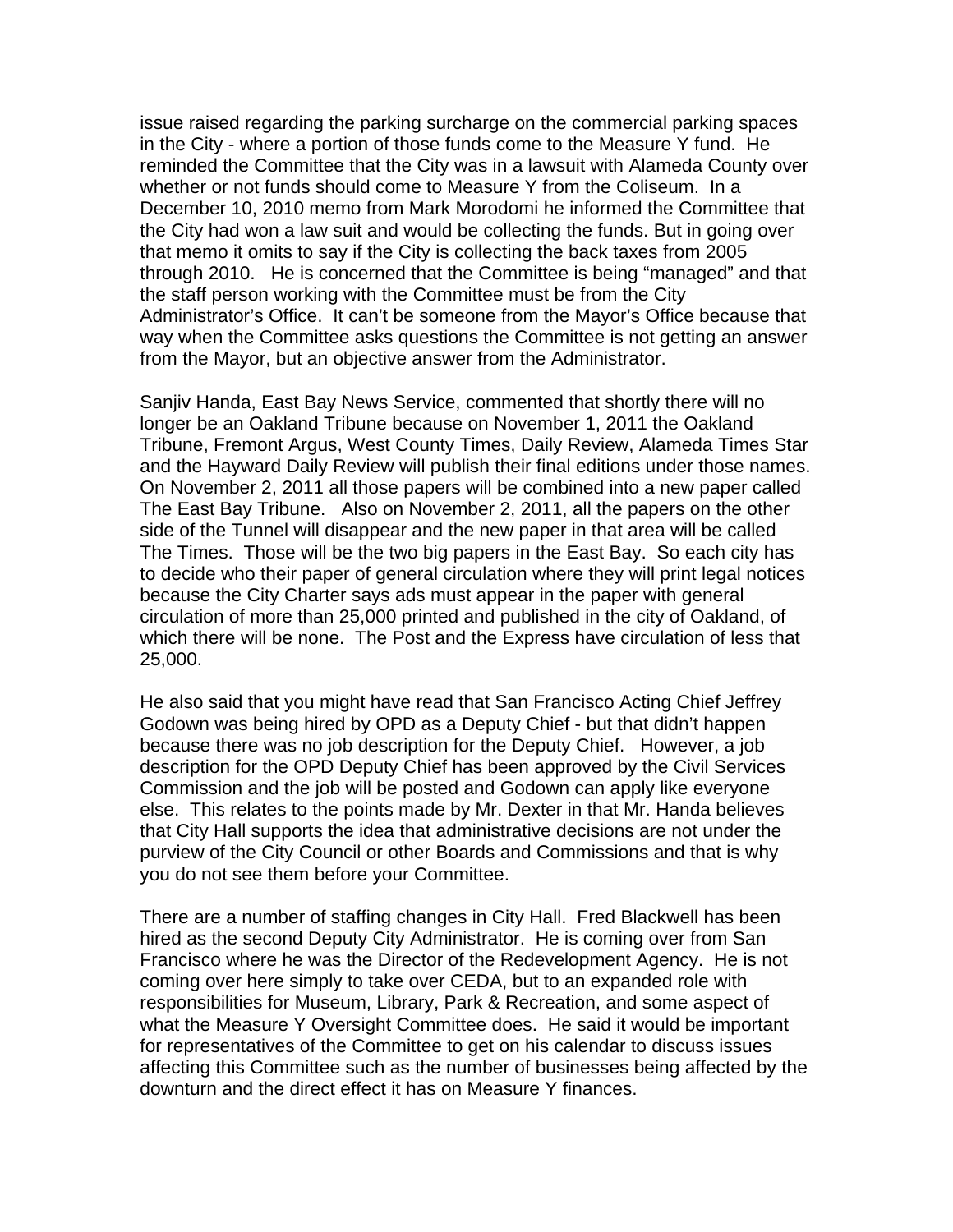issue raised regarding the parking surcharge on the commercial parking spaces in the City - where a portion of those funds come to the Measure Y fund. He reminded the Committee that the City was in a lawsuit with Alameda County over whether or not funds should come to Measure Y from the Coliseum. In a December 10, 2010 memo from Mark Morodomi he informed the Committee that the City had won a law suit and would be collecting the funds. But in going over that memo it omits to say if the City is collecting the back taxes from 2005 through 2010. He is concerned that the Committee is being "managed" and that the staff person working with the Committee must be from the City Administrator's Office. It can't be someone from the Mayor's Office because that way when the Committee asks questions the Committee is not getting an answer from the Mayor, but an objective answer from the Administrator.

Sanjiv Handa, East Bay News Service, commented that shortly there will no longer be an Oakland Tribune because on November 1, 2011 the Oakland Tribune, Fremont Argus, West County Times, Daily Review, Alameda Times Star and the Hayward Daily Review will publish their final editions under those names. On November 2, 2011 all those papers will be combined into a new paper called The East Bay Tribune. Also on November 2, 2011, all the papers on the other side of the Tunnel will disappear and the new paper in that area will be called The Times. Those will be the two big papers in the East Bay. So each city has to decide who their paper of general circulation where they will print legal notices because the City Charter says ads must appear in the paper with general circulation of more than 25,000 printed and published in the city of Oakland, of which there will be none. The Post and the Express have circulation of less that 25,000.

He also said that you might have read that San Francisco Acting Chief Jeffrey Godown was being hired by OPD as a Deputy Chief - but that didn't happen because there was no job description for the Deputy Chief. However, a job description for the OPD Deputy Chief has been approved by the Civil Services Commission and the job will be posted and Godown can apply like everyone else. This relates to the points made by Mr. Dexter in that Mr. Handa believes that City Hall supports the idea that administrative decisions are not under the purview of the City Council or other Boards and Commissions and that is why you do not see them before your Committee.

There are a number of staffing changes in City Hall. Fred Blackwell has been hired as the second Deputy City Administrator. He is coming over from San Francisco where he was the Director of the Redevelopment Agency. He is not coming over here simply to take over CEDA, but to an expanded role with responsibilities for Museum, Library, Park & Recreation, and some aspect of what the Measure Y Oversight Committee does. He said it would be important for representatives of the Committee to get on his calendar to discuss issues affecting this Committee such as the number of businesses being affected by the downturn and the direct effect it has on Measure Y finances.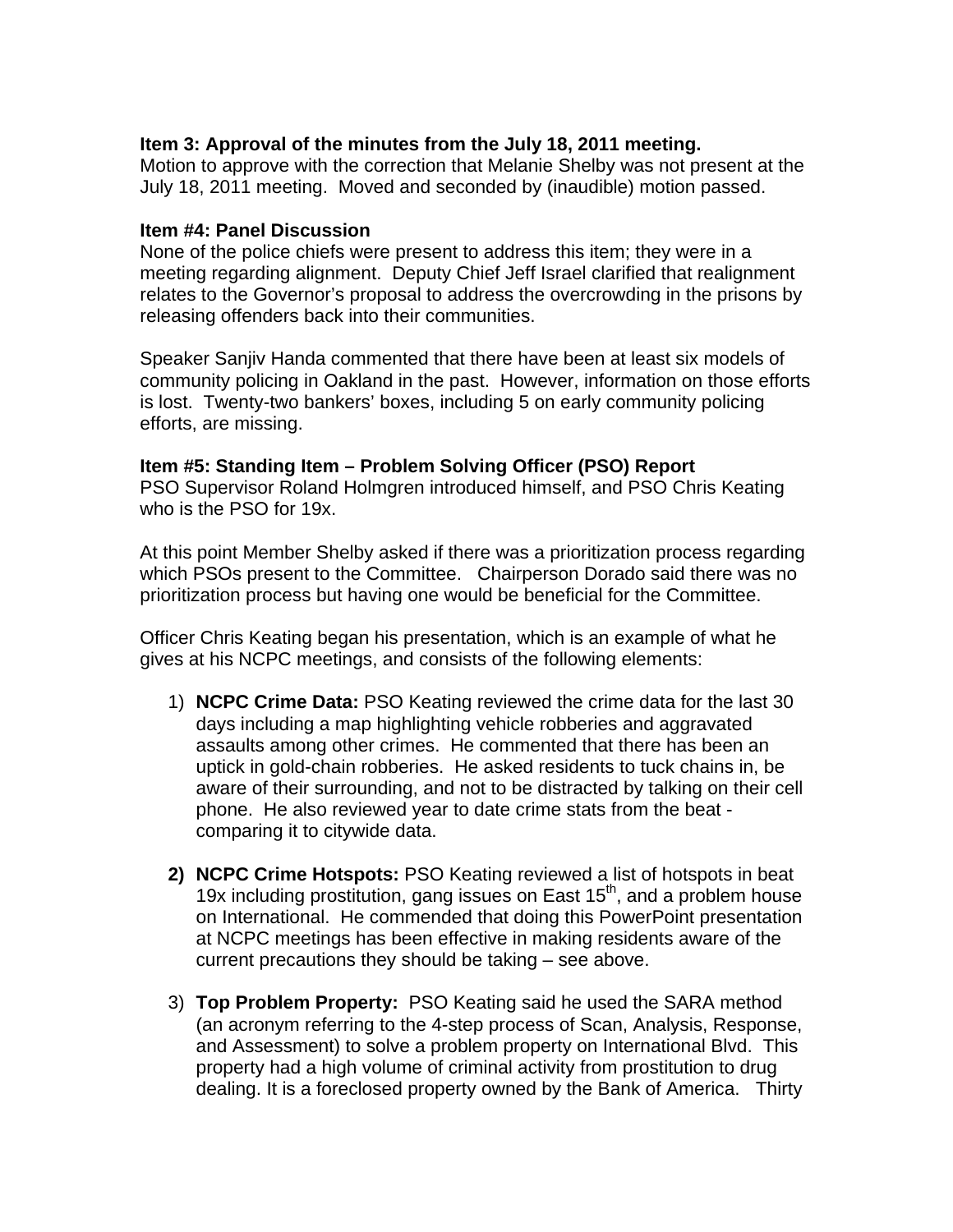# **Item 3: Approval of the minutes from the July 18, 2011 meeting.**

Motion to approve with the correction that Melanie Shelby was not present at the July 18, 2011 meeting. Moved and seconded by (inaudible) motion passed.

## **Item #4: Panel Discussion**

None of the police chiefs were present to address this item; they were in a meeting regarding alignment. Deputy Chief Jeff Israel clarified that realignment relates to the Governor's proposal to address the overcrowding in the prisons by releasing offenders back into their communities.

Speaker Sanjiv Handa commented that there have been at least six models of community policing in Oakland in the past. However, information on those efforts is lost. Twenty-two bankers' boxes, including 5 on early community policing efforts, are missing.

### **Item #5: Standing Item – Problem Solving Officer (PSO) Report**

PSO Supervisor Roland Holmgren introduced himself, and PSO Chris Keating who is the PSO for 19x.

At this point Member Shelby asked if there was a prioritization process regarding which PSOs present to the Committee. Chairperson Dorado said there was no prioritization process but having one would be beneficial for the Committee.

Officer Chris Keating began his presentation, which is an example of what he gives at his NCPC meetings, and consists of the following elements:

- 1) **NCPC Crime Data:** PSO Keating reviewed the crime data for the last 30 days including a map highlighting vehicle robberies and aggravated assaults among other crimes. He commented that there has been an uptick in gold-chain robberies. He asked residents to tuck chains in, be aware of their surrounding, and not to be distracted by talking on their cell phone. He also reviewed year to date crime stats from the beat comparing it to citywide data.
- **2) NCPC Crime Hotspots:** PSO Keating reviewed a list of hotspots in beat 19x including prostitution, gang issues on East  $15<sup>th</sup>$ , and a problem house on International. He commended that doing this PowerPoint presentation at NCPC meetings has been effective in making residents aware of the current precautions they should be taking – see above.
- 3) **Top Problem Property:** PSO Keating said he used the SARA method (an acronym referring to the 4-step process of Scan, Analysis, Response, and Assessment) to solve a problem property on International Blvd. This property had a high volume of criminal activity from prostitution to drug dealing. It is a foreclosed property owned by the Bank of America. Thirty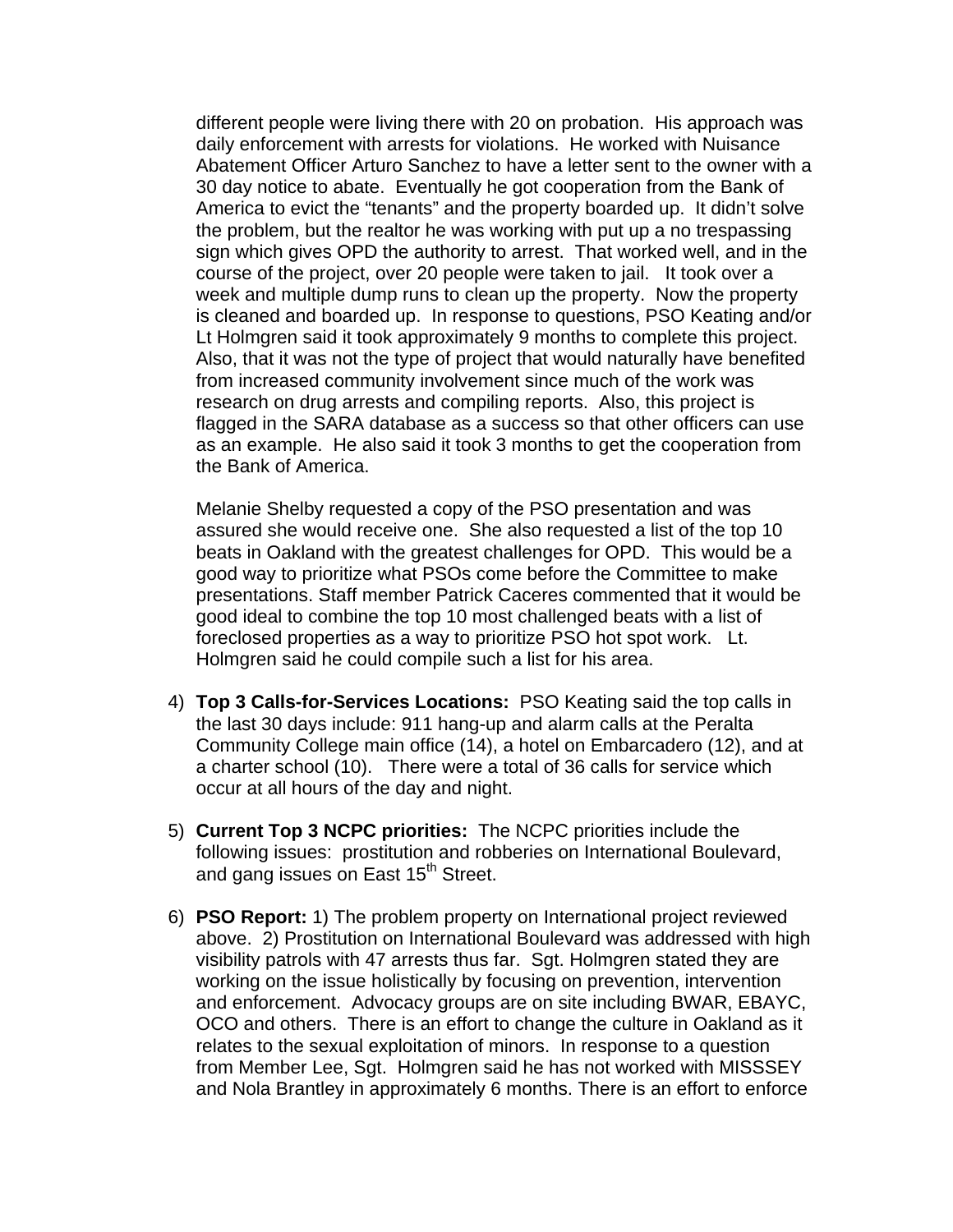different people were living there with 20 on probation. His approach was daily enforcement with arrests for violations. He worked with Nuisance Abatement Officer Arturo Sanchez to have a letter sent to the owner with a 30 day notice to abate. Eventually he got cooperation from the Bank of America to evict the "tenants" and the property boarded up. It didn't solve the problem, but the realtor he was working with put up a no trespassing sign which gives OPD the authority to arrest. That worked well, and in the course of the project, over 20 people were taken to jail. It took over a week and multiple dump runs to clean up the property. Now the property is cleaned and boarded up. In response to questions, PSO Keating and/or Lt Holmgren said it took approximately 9 months to complete this project. Also, that it was not the type of project that would naturally have benefited from increased community involvement since much of the work was research on drug arrests and compiling reports. Also, this project is flagged in the SARA database as a success so that other officers can use as an example. He also said it took 3 months to get the cooperation from the Bank of America.

Melanie Shelby requested a copy of the PSO presentation and was assured she would receive one. She also requested a list of the top 10 beats in Oakland with the greatest challenges for OPD. This would be a good way to prioritize what PSOs come before the Committee to make presentations. Staff member Patrick Caceres commented that it would be good ideal to combine the top 10 most challenged beats with a list of foreclosed properties as a way to prioritize PSO hot spot work. Lt. Holmgren said he could compile such a list for his area.

- 4) **Top 3 Calls-for-Services Locations:** PSO Keating said the top calls in the last 30 days include: 911 hang-up and alarm calls at the Peralta Community College main office (14), a hotel on Embarcadero (12), and at a charter school (10). There were a total of 36 calls for service which occur at all hours of the day and night.
- 5) **Current Top 3 NCPC priorities:** The NCPC priorities include the following issues: prostitution and robberies on International Boulevard, and gang issues on East 15<sup>th</sup> Street.
- 6) **PSO Report:** 1) The problem property on International project reviewed above. 2) Prostitution on International Boulevard was addressed with high visibility patrols with 47 arrests thus far. Sgt. Holmgren stated they are working on the issue holistically by focusing on prevention, intervention and enforcement. Advocacy groups are on site including BWAR, EBAYC, OCO and others. There is an effort to change the culture in Oakland as it relates to the sexual exploitation of minors. In response to a question from Member Lee, Sgt. Holmgren said he has not worked with MISSSEY and Nola Brantley in approximately 6 months. There is an effort to enforce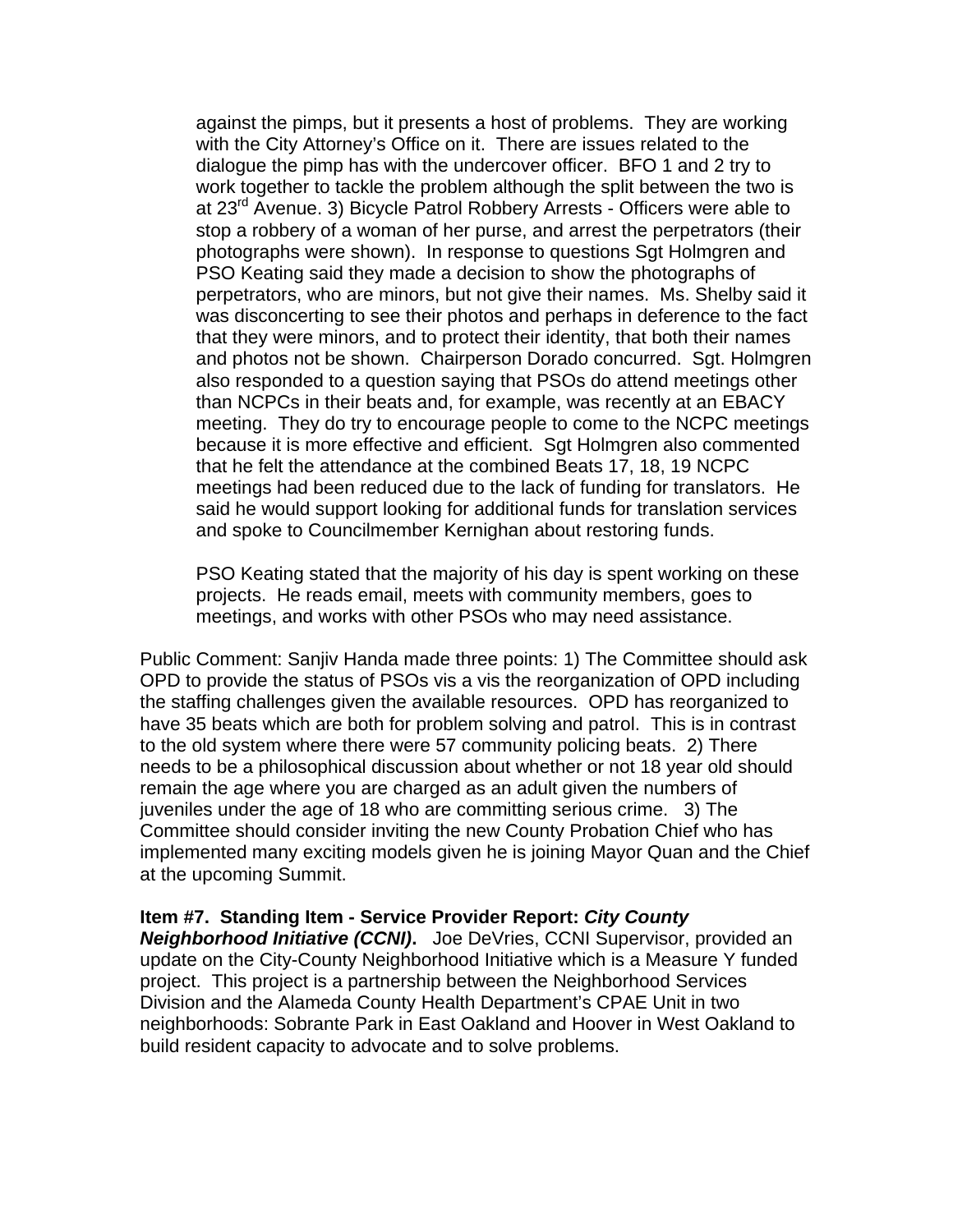against the pimps, but it presents a host of problems. They are working with the City Attorney's Office on it. There are issues related to the dialogue the pimp has with the undercover officer. BFO 1 and 2 try to work together to tackle the problem although the split between the two is at 23<sup>rd</sup> Avenue. 3) Bicycle Patrol Robbery Arrests - Officers were able to stop a robbery of a woman of her purse, and arrest the perpetrators (their photographs were shown). In response to questions Sgt Holmgren and PSO Keating said they made a decision to show the photographs of perpetrators, who are minors, but not give their names. Ms. Shelby said it was disconcerting to see their photos and perhaps in deference to the fact that they were minors, and to protect their identity, that both their names and photos not be shown. Chairperson Dorado concurred. Sgt. Holmgren also responded to a question saying that PSOs do attend meetings other than NCPCs in their beats and, for example, was recently at an EBACY meeting. They do try to encourage people to come to the NCPC meetings because it is more effective and efficient. Sgt Holmgren also commented that he felt the attendance at the combined Beats 17, 18, 19 NCPC meetings had been reduced due to the lack of funding for translators. He said he would support looking for additional funds for translation services and spoke to Councilmember Kernighan about restoring funds.

PSO Keating stated that the majority of his day is spent working on these projects. He reads email, meets with community members, goes to meetings, and works with other PSOs who may need assistance.

Public Comment: Sanjiv Handa made three points: 1) The Committee should ask OPD to provide the status of PSOs vis a vis the reorganization of OPD including the staffing challenges given the available resources. OPD has reorganized to have 35 beats which are both for problem solving and patrol. This is in contrast to the old system where there were 57 community policing beats. 2) There needs to be a philosophical discussion about whether or not 18 year old should remain the age where you are charged as an adult given the numbers of juveniles under the age of 18 who are committing serious crime. 3) The Committee should consider inviting the new County Probation Chief who has implemented many exciting models given he is joining Mayor Quan and the Chief at the upcoming Summit.

### **Item #7. Standing Item - Service Provider Report:** *City County*

*Neighborhood Initiative (CCNI)***.** Joe DeVries, CCNI Supervisor, provided an update on the City-County Neighborhood Initiative which is a Measure Y funded project. This project is a partnership between the Neighborhood Services Division and the Alameda County Health Department's CPAE Unit in two neighborhoods: Sobrante Park in East Oakland and Hoover in West Oakland to build resident capacity to advocate and to solve problems.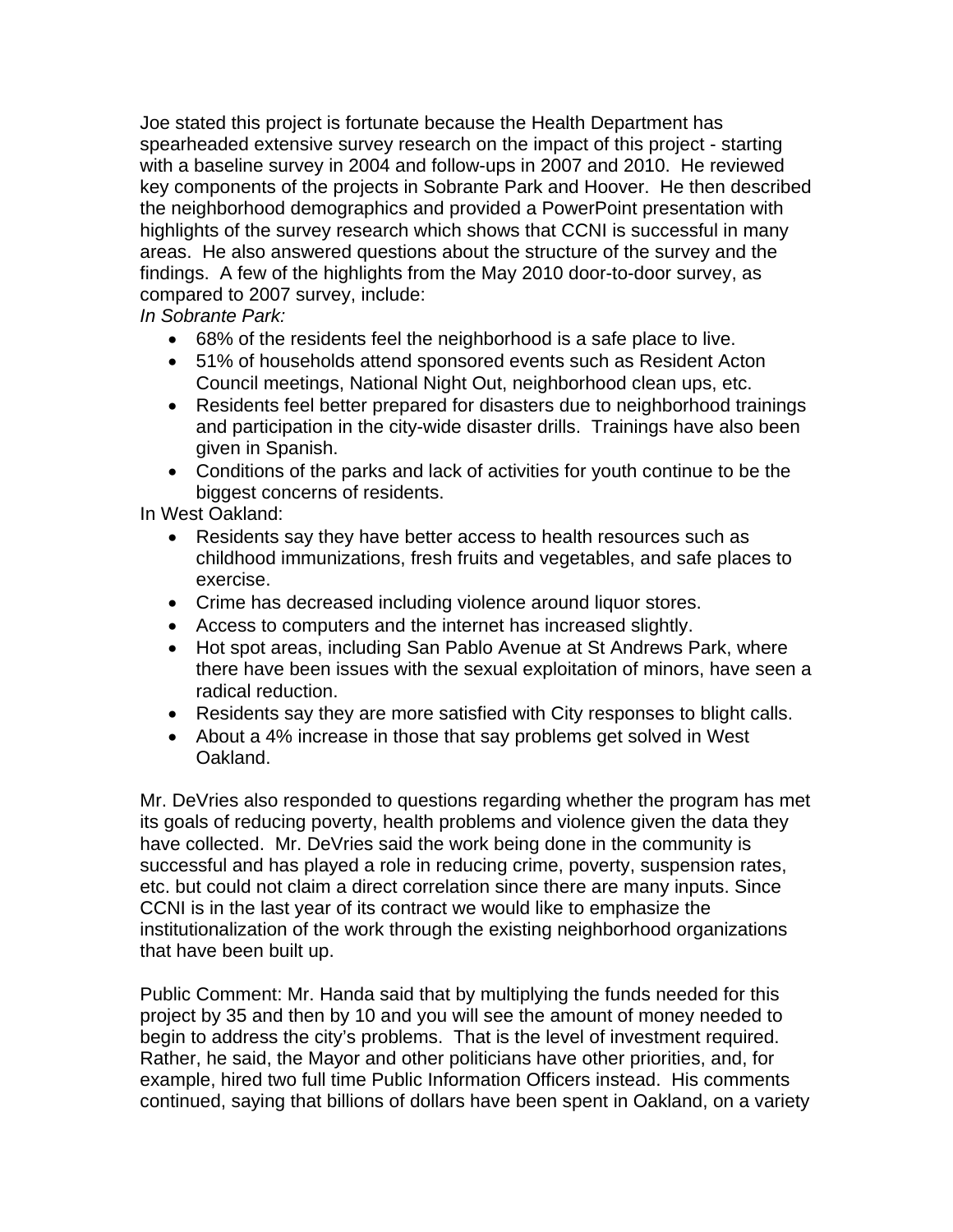Joe stated this project is fortunate because the Health Department has spearheaded extensive survey research on the impact of this project - starting with a baseline survey in 2004 and follow-ups in 2007 and 2010. He reviewed key components of the projects in Sobrante Park and Hoover. He then described the neighborhood demographics and provided a PowerPoint presentation with highlights of the survey research which shows that CCNI is successful in many areas. He also answered questions about the structure of the survey and the findings. A few of the highlights from the May 2010 door-to-door survey, as compared to 2007 survey, include:

*In Sobrante Park:* 

- 68% of the residents feel the neighborhood is a safe place to live.
- 51% of households attend sponsored events such as Resident Acton Council meetings, National Night Out, neighborhood clean ups, etc.
- Residents feel better prepared for disasters due to neighborhood trainings and participation in the city-wide disaster drills. Trainings have also been given in Spanish.
- Conditions of the parks and lack of activities for youth continue to be the biggest concerns of residents.

In West Oakland:

- Residents say they have better access to health resources such as childhood immunizations, fresh fruits and vegetables, and safe places to exercise.
- Crime has decreased including violence around liquor stores.
- Access to computers and the internet has increased slightly.
- Hot spot areas, including San Pablo Avenue at St Andrews Park, where there have been issues with the sexual exploitation of minors, have seen a radical reduction.
- Residents say they are more satisfied with City responses to blight calls.
- About a 4% increase in those that say problems get solved in West Oakland.

Mr. DeVries also responded to questions regarding whether the program has met its goals of reducing poverty, health problems and violence given the data they have collected. Mr. DeVries said the work being done in the community is successful and has played a role in reducing crime, poverty, suspension rates, etc. but could not claim a direct correlation since there are many inputs. Since CCNI is in the last year of its contract we would like to emphasize the institutionalization of the work through the existing neighborhood organizations that have been built up.

Public Comment: Mr. Handa said that by multiplying the funds needed for this project by 35 and then by 10 and you will see the amount of money needed to begin to address the city's problems. That is the level of investment required. Rather, he said, the Mayor and other politicians have other priorities, and, for example, hired two full time Public Information Officers instead. His comments continued, saying that billions of dollars have been spent in Oakland, on a variety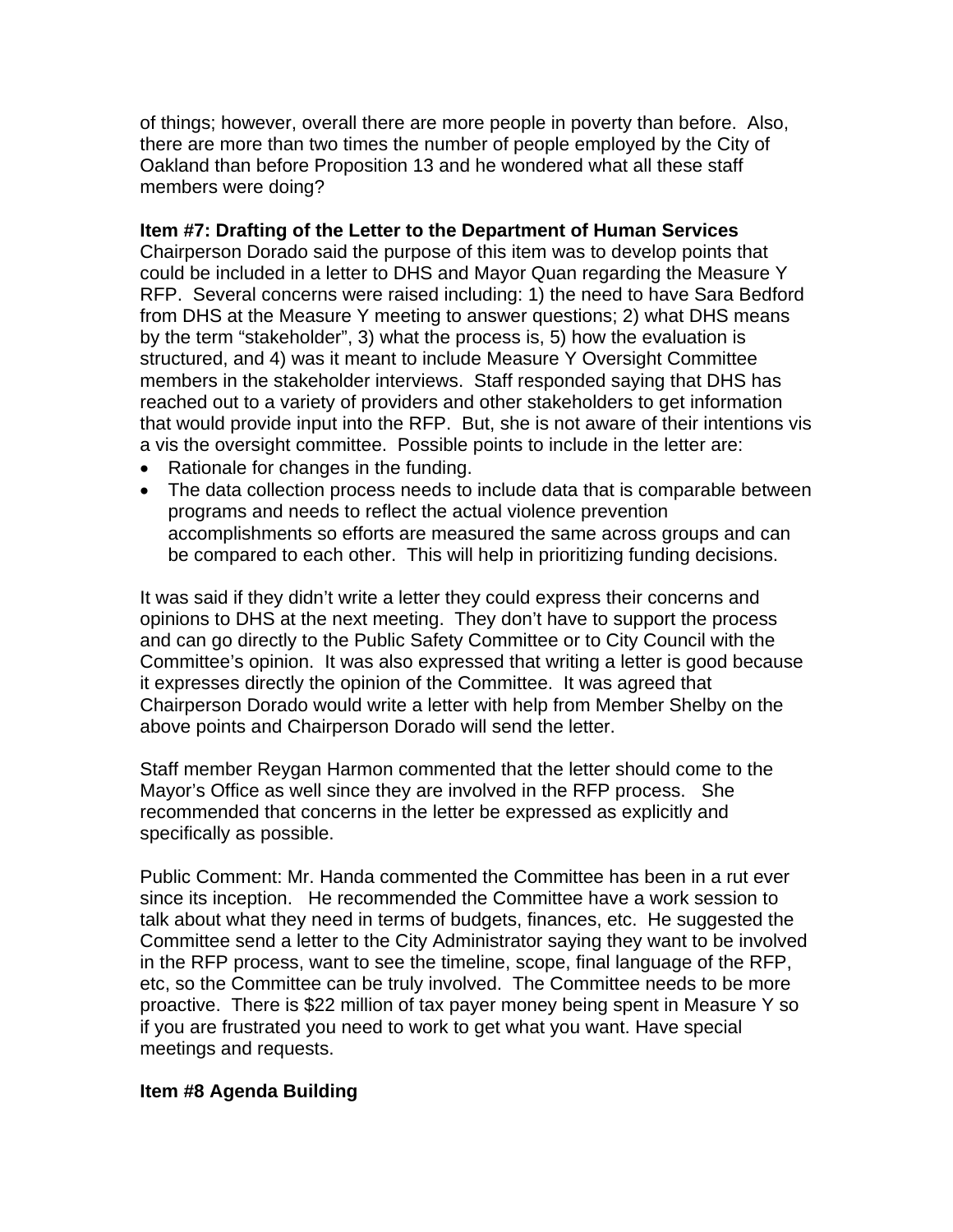of things; however, overall there are more people in poverty than before. Also, there are more than two times the number of people employed by the City of Oakland than before Proposition 13 and he wondered what all these staff members were doing?

## **Item #7: Drafting of the Letter to the Department of Human Services**

Chairperson Dorado said the purpose of this item was to develop points that could be included in a letter to DHS and Mayor Quan regarding the Measure Y RFP. Several concerns were raised including: 1) the need to have Sara Bedford from DHS at the Measure Y meeting to answer questions; 2) what DHS means by the term "stakeholder", 3) what the process is, 5) how the evaluation is structured, and 4) was it meant to include Measure Y Oversight Committee members in the stakeholder interviews. Staff responded saying that DHS has reached out to a variety of providers and other stakeholders to get information that would provide input into the RFP. But, she is not aware of their intentions vis a vis the oversight committee. Possible points to include in the letter are:

- Rationale for changes in the funding.
- The data collection process needs to include data that is comparable between programs and needs to reflect the actual violence prevention accomplishments so efforts are measured the same across groups and can be compared to each other. This will help in prioritizing funding decisions.

It was said if they didn't write a letter they could express their concerns and opinions to DHS at the next meeting. They don't have to support the process and can go directly to the Public Safety Committee or to City Council with the Committee's opinion. It was also expressed that writing a letter is good because it expresses directly the opinion of the Committee. It was agreed that Chairperson Dorado would write a letter with help from Member Shelby on the above points and Chairperson Dorado will send the letter.

Staff member Reygan Harmon commented that the letter should come to the Mayor's Office as well since they are involved in the RFP process. She recommended that concerns in the letter be expressed as explicitly and specifically as possible.

Public Comment: Mr. Handa commented the Committee has been in a rut ever since its inception. He recommended the Committee have a work session to talk about what they need in terms of budgets, finances, etc. He suggested the Committee send a letter to the City Administrator saying they want to be involved in the RFP process, want to see the timeline, scope, final language of the RFP, etc, so the Committee can be truly involved. The Committee needs to be more proactive. There is \$22 million of tax payer money being spent in Measure Y so if you are frustrated you need to work to get what you want. Have special meetings and requests.

# **Item #8 Agenda Building**